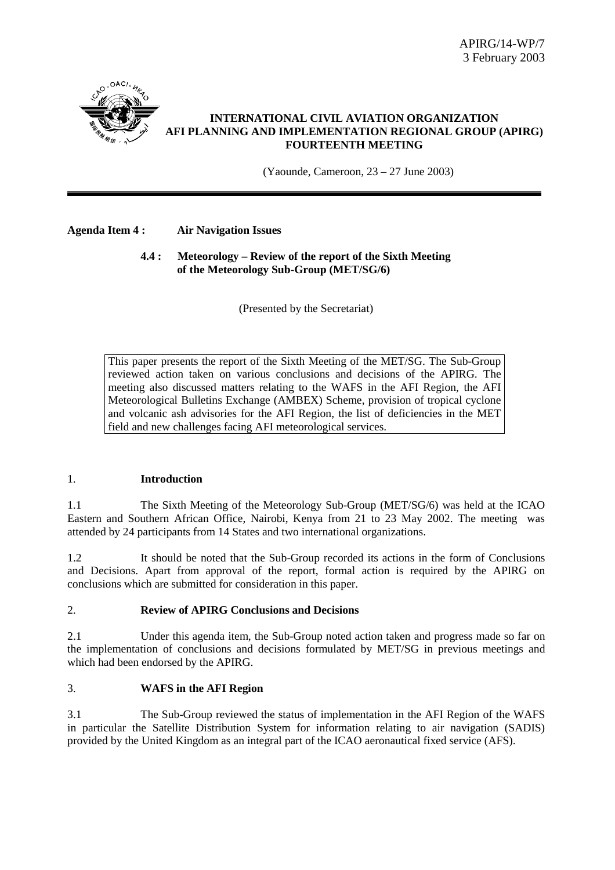

## **INTERNATIONAL CIVIL AVIATION ORGANIZATION AFI PLANNING AND IMPLEMENTATION REGIONAL GROUP (APIRG) FOURTEENTH MEETING**

(Yaounde, Cameroon, 23 – 27 June 2003)

## **Agenda Item 4 : Air Navigation Issues**

## **4.4 : Meteorology – Review of the report of the Sixth Meeting of the Meteorology Sub-Group (MET/SG/6)**

(Presented by the Secretariat)

This paper presents the report of the Sixth Meeting of the MET/SG. The Sub-Group reviewed action taken on various conclusions and decisions of the APIRG. The meeting also discussed matters relating to the WAFS in the AFI Region, the AFI Meteorological Bulletins Exchange (AMBEX) Scheme, provision of tropical cyclone and volcanic ash advisories for the AFI Region, the list of deficiencies in the MET field and new challenges facing AFI meteorological services.

## 1. **Introduction**

1.1 The Sixth Meeting of the Meteorology Sub-Group (MET/SG/6) was held at the ICAO Eastern and Southern African Office, Nairobi, Kenya from 21 to 23 May 2002. The meeting was attended by 24 participants from 14 States and two international organizations.

1.2 It should be noted that the Sub-Group recorded its actions in the form of Conclusions and Decisions. Apart from approval of the report, formal action is required by the APIRG on conclusions which are submitted for consideration in this paper.

## 2. **Review of APIRG Conclusions and Decisions**

2.1 Under this agenda item, the Sub-Group noted action taken and progress made so far on the implementation of conclusions and decisions formulated by MET/SG in previous meetings and which had been endorsed by the APIRG.

## 3. **WAFS in the AFI Region**

3.1 The Sub-Group reviewed the status of implementation in the AFI Region of the WAFS in particular the Satellite Distribution System for information relating to air navigation (SADIS) provided by the United Kingdom as an integral part of the ICAO aeronautical fixed service (AFS).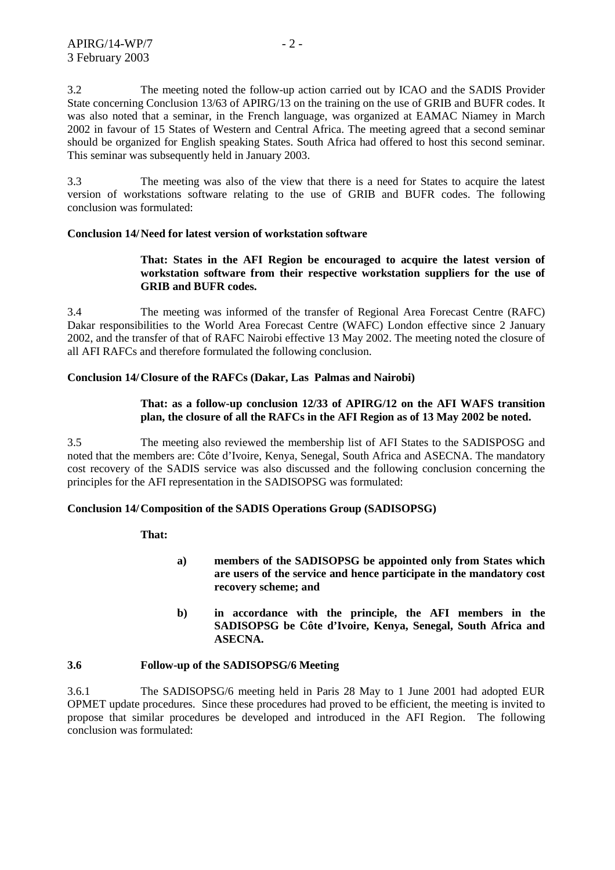3.2 The meeting noted the follow-up action carried out by ICAO and the SADIS Provider State concerning Conclusion 13/63 of APIRG/13 on the training on the use of GRIB and BUFR codes. It was also noted that a seminar, in the French language, was organized at EAMAC Niamey in March 2002 in favour of 15 States of Western and Central Africa. The meeting agreed that a second seminar should be organized for English speaking States. South Africa had offered to host this second seminar. This seminar was subsequently held in January 2003.

3.3 The meeting was also of the view that there is a need for States to acquire the latest version of workstations software relating to the use of GRIB and BUFR codes. The following conclusion was formulated:

#### **Conclusion 14/ Need for latest version of workstation software**

## **That: States in the AFI Region be encouraged to acquire the latest version of workstation software from their respective workstation suppliers for the use of GRIB and BUFR codes.**

3.4 The meeting was informed of the transfer of Regional Area Forecast Centre (RAFC) Dakar responsibilities to the World Area Forecast Centre (WAFC) London effective since 2 January 2002, and the transfer of that of RAFC Nairobi effective 13 May 2002. The meeting noted the closure of all AFI RAFCs and therefore formulated the following conclusion.

#### **Conclusion 14/ Closure of the RAFCs (Dakar, Las Palmas and Nairobi)**

## **That: as a follow-up conclusion 12/33 of APIRG/12 on the AFI WAFS transition plan, the closure of all the RAFCs in the AFI Region as of 13 May 2002 be noted.**

3.5 The meeting also reviewed the membership list of AFI States to the SADISPOSG and noted that the members are: Côte d'Ivoire, Kenya, Senegal, South Africa and ASECNA. The mandatory cost recovery of the SADIS service was also discussed and the following conclusion concerning the principles for the AFI representation in the SADISOPSG was formulated:

#### **Conclusion 14/ Composition of the SADIS Operations Group (SADISOPSG)**

 **That:** 

- **a) members of the SADISOPSG be appointed only from States which are users of the service and hence participate in the mandatory cost recovery scheme; and**
- **b) in accordance with the principle, the AFI members in the SADISOPSG be Côte d'Ivoire, Kenya, Senegal, South Africa and ASECNA.**

#### **3.6 Follow-up of the SADISOPSG/6 Meeting**

3.6.1 The SADISOPSG/6 meeting held in Paris 28 May to 1 June 2001 had adopted EUR OPMET update procedures. Since these procedures had proved to be efficient, the meeting is invited to propose that similar procedures be developed and introduced in the AFI Region. The following conclusion was formulated: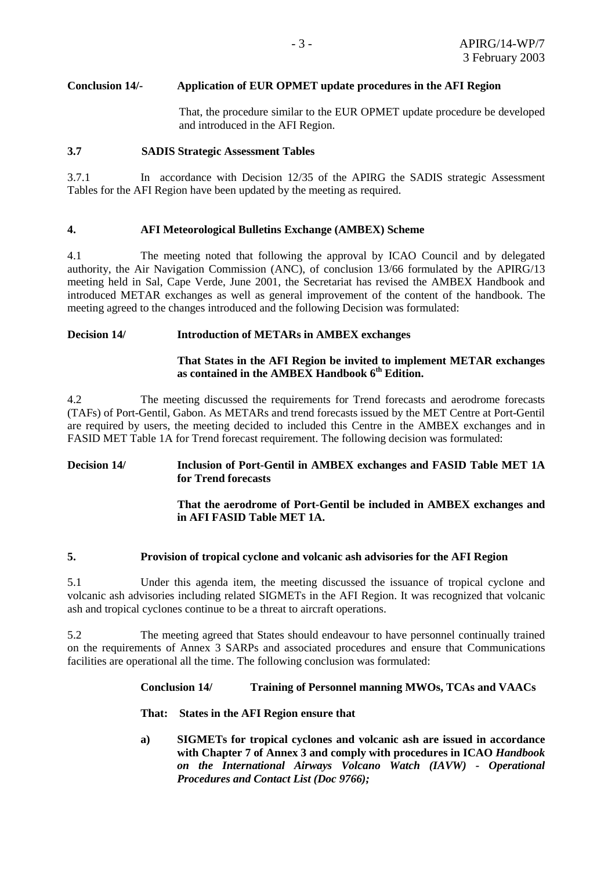## **Conclusion 14/- Application of EUR OPMET update procedures in the AFI Region**

 That, the procedure similar to the EUR OPMET update procedure be developed and introduced in the AFI Region.

## **3.7 SADIS Strategic Assessment Tables**

3.7.1 In accordance with Decision 12/35 of the APIRG the SADIS strategic Assessment Tables for the AFI Region have been updated by the meeting as required.

## **4. AFI Meteorological Bulletins Exchange (AMBEX) Scheme**

4.1 The meeting noted that following the approval by ICAO Council and by delegated authority, the Air Navigation Commission (ANC), of conclusion 13/66 formulated by the APIRG/13 meeting held in Sal, Cape Verde, June 2001, the Secretariat has revised the AMBEX Handbook and introduced METAR exchanges as well as general improvement of the content of the handbook. The meeting agreed to the changes introduced and the following Decision was formulated:

## **Decision 14/ Introduction of METARs in AMBEX exchanges**

## **That States in the AFI Region be invited to implement METAR exchanges as contained in the AMBEX Handbook 6th Edition.**

4.2 The meeting discussed the requirements for Trend forecasts and aerodrome forecasts (TAFs) of Port-Gentil, Gabon. As METARs and trend forecasts issued by the MET Centre at Port-Gentil are required by users, the meeting decided to included this Centre in the AMBEX exchanges and in FASID MET Table 1A for Trend forecast requirement. The following decision was formulated:

## **Decision 14/ Inclusion of Port-Gentil in AMBEX exchanges and FASID Table MET 1A for Trend forecasts**

## **That the aerodrome of Port-Gentil be included in AMBEX exchanges and in AFI FASID Table MET 1A.**

## **5. Provision of tropical cyclone and volcanic ash advisories for the AFI Region**

5.1 Under this agenda item, the meeting discussed the issuance of tropical cyclone and volcanic ash advisories including related SIGMETs in the AFI Region. It was recognized that volcanic ash and tropical cyclones continue to be a threat to aircraft operations.

5.2 The meeting agreed that States should endeavour to have personnel continually trained on the requirements of Annex 3 SARPs and associated procedures and ensure that Communications facilities are operational all the time. The following conclusion was formulated:

## **Conclusion 14/ Training of Personnel manning MWOs, TCAs and VAACs**

## **That: States in the AFI Region ensure that**

**a) SIGMETs for tropical cyclones and volcanic ash are issued in accordance with Chapter 7 of Annex 3 and comply with procedures in ICAO** *Handbook on the International Airways Volcano Watch (IAVW) - Operational Procedures and Contact List (Doc 9766);*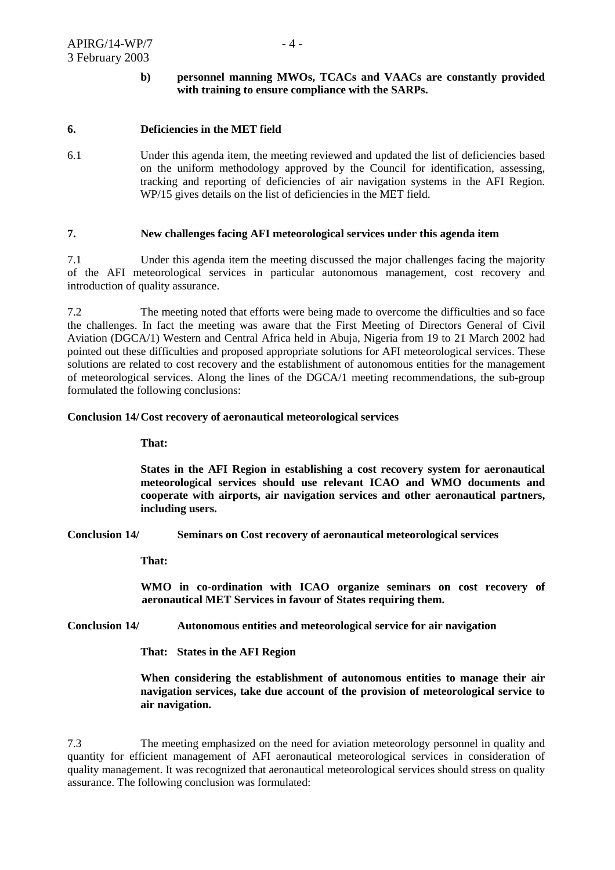## **b) personnel manning MWOs, TCACs and VAACs are constantly provided with training to ensure compliance with the SARPs.**

#### **6. Deficiencies in the MET field**

6.1 Under this agenda item, the meeting reviewed and updated the list of deficiencies based on the uniform methodology approved by the Council for identification, assessing, tracking and reporting of deficiencies of air navigation systems in the AFI Region. WP/15 gives details on the list of deficiencies in the MET field.

#### **7. New challenges facing AFI meteorological services under this agenda item**

7.1 Under this agenda item the meeting discussed the major challenges facing the majority of the AFI meteorological services in particular autonomous management, cost recovery and introduction of quality assurance.

7.2 The meeting noted that efforts were being made to overcome the difficulties and so face the challenges. In fact the meeting was aware that the First Meeting of Directors General of Civil Aviation (DGCA/1) Western and Central Africa held in Abuja, Nigeria from 19 to 21 March 2002 had pointed out these difficulties and proposed appropriate solutions for AFI meteorological services. These solutions are related to cost recovery and the establishment of autonomous entities for the management of meteorological services. Along the lines of the DGCA/1 meeting recommendations, the sub-group formulated the following conclusions:

#### **Conclusion 14/ Cost recovery of aeronautical meteorological services**

## **That:**

**States in the AFI Region in establishing a cost recovery system for aeronautical meteorological services should use relevant ICAO and WMO documents and cooperate with airports, air navigation services and other aeronautical partners, including users.**

**Conclusion 14/ Seminars on Cost recovery of aeronautical meteorological services** 

 **That:** 

**WMO in co-ordination with ICAO organize seminars on cost recovery of aeronautical MET Services in favour of States requiring them.** 

**Conclusion 14/ Autonomous entities and meteorological service for air navigation** 

 **That: States in the AFI Region** 

**When considering the establishment of autonomous entities to manage their air navigation services, take due account of the provision of meteorological service to air navigation.** 

7.3 The meeting emphasized on the need for aviation meteorology personnel in quality and quantity for efficient management of AFI aeronautical meteorological services in consideration of quality management. It was recognized that aeronautical meteorological services should stress on quality assurance. The following conclusion was formulated: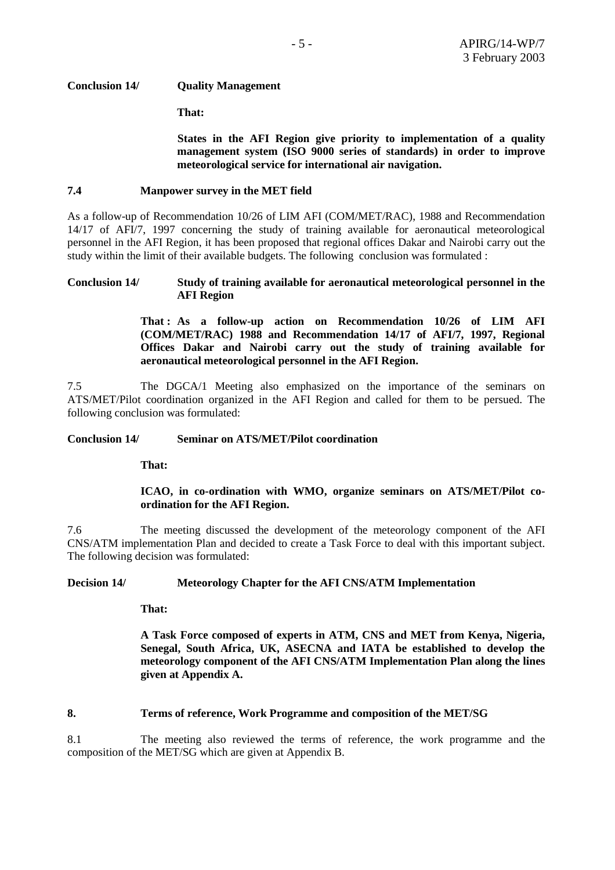## **Conclusion 14/ Quality Management**

 **That:** 

**States in the AFI Region give priority to implementation of a quality management system (ISO 9000 series of standards) in order to improve meteorological service for international air navigation.** 

#### **7.4 Manpower survey in the MET field**

As a follow-up of Recommendation 10/26 of LIM AFI (COM/MET/RAC), 1988 and Recommendation 14/17 of AFI/7, 1997 concerning the study of training available for aeronautical meteorological personnel in the AFI Region, it has been proposed that regional offices Dakar and Nairobi carry out the study within the limit of their available budgets. The following conclusion was formulated :

#### **Conclusion 14/ Study of training available for aeronautical meteorological personnel in the AFI Region**

**That : As a follow-up action on Recommendation 10/26 of LIM AFI (COM/MET/RAC) 1988 and Recommendation 14/17 of AFI/7, 1997, Regional Offices Dakar and Nairobi carry out the study of training available for aeronautical meteorological personnel in the AFI Region.** 

7.5 The DGCA/1 Meeting also emphasized on the importance of the seminars on ATS/MET/Pilot coordination organized in the AFI Region and called for them to be persued. The following conclusion was formulated:

#### **Conclusion 14/ Seminar on ATS/MET/Pilot coordination**

 **That:** 

## **ICAO, in co-ordination with WMO, organize seminars on ATS/MET/Pilot coordination for the AFI Region.**

7.6 The meeting discussed the development of the meteorology component of the AFI CNS/ATM implementation Plan and decided to create a Task Force to deal with this important subject. The following decision was formulated:

## **Decision 14/ Meteorology Chapter for the AFI CNS/ATM Implementation**

 **That:** 

**A Task Force composed of experts in ATM, CNS and MET from Kenya, Nigeria, Senegal, South Africa, UK, ASECNA and IATA be established to develop the meteorology component of the AFI CNS/ATM Implementation Plan along the lines given at Appendix A.** 

#### **8. Terms of reference, Work Programme and composition of the MET/SG**

8.1 The meeting also reviewed the terms of reference, the work programme and the composition of the MET/SG which are given at Appendix B.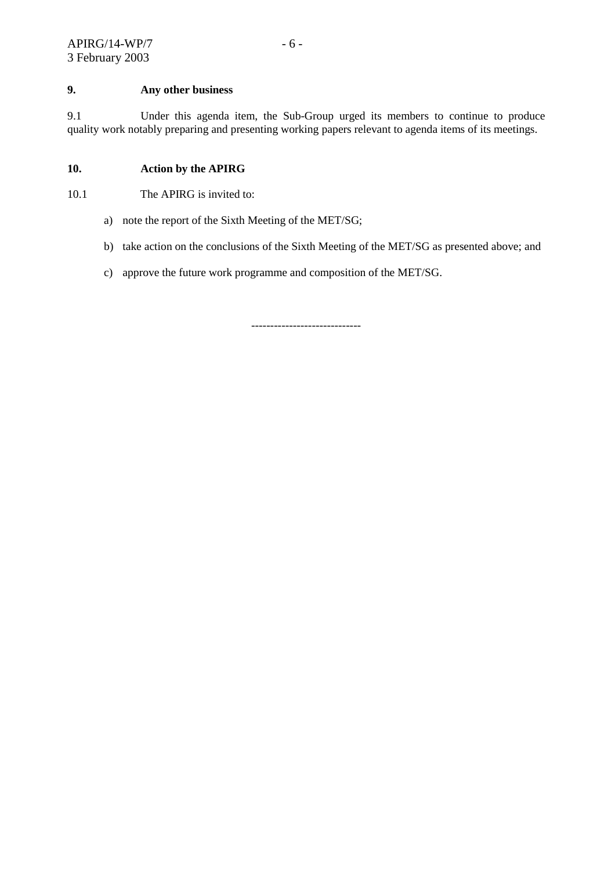## **9. Any other business**

9.1 Under this agenda item, the Sub-Group urged its members to continue to produce quality work notably preparing and presenting working papers relevant to agenda items of its meetings.

## **10. Action by the APIRG**

10.1 The APIRG is invited to:

- a) note the report of the Sixth Meeting of the MET/SG;
- b) take action on the conclusions of the Sixth Meeting of the MET/SG as presented above; and
- c) approve the future work programme and composition of the MET/SG.

-----------------------------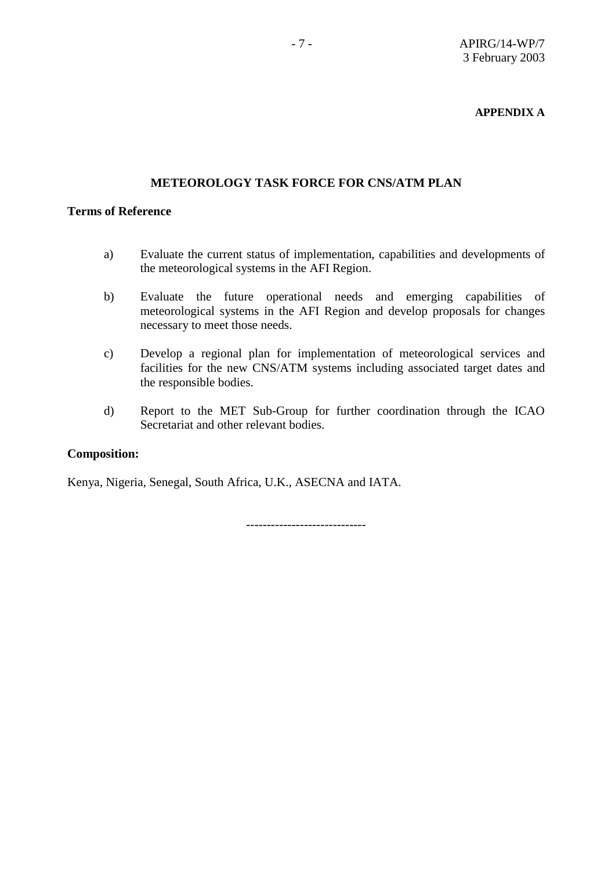## **APPENDIX A**

## **METEOROLOGY TASK FORCE FOR CNS/ATM PLAN**

## **Terms of Reference**

- a) Evaluate the current status of implementation, capabilities and developments of the meteorological systems in the AFI Region.
- b) Evaluate the future operational needs and emerging capabilities of meteorological systems in the AFI Region and develop proposals for changes necessary to meet those needs.
- c) Develop a regional plan for implementation of meteorological services and facilities for the new CNS/ATM systems including associated target dates and the responsible bodies.
- d) Report to the MET Sub-Group for further coordination through the ICAO Secretariat and other relevant bodies.

## **Composition:**

Kenya, Nigeria, Senegal, South Africa, U.K., ASECNA and IATA.

-----------------------------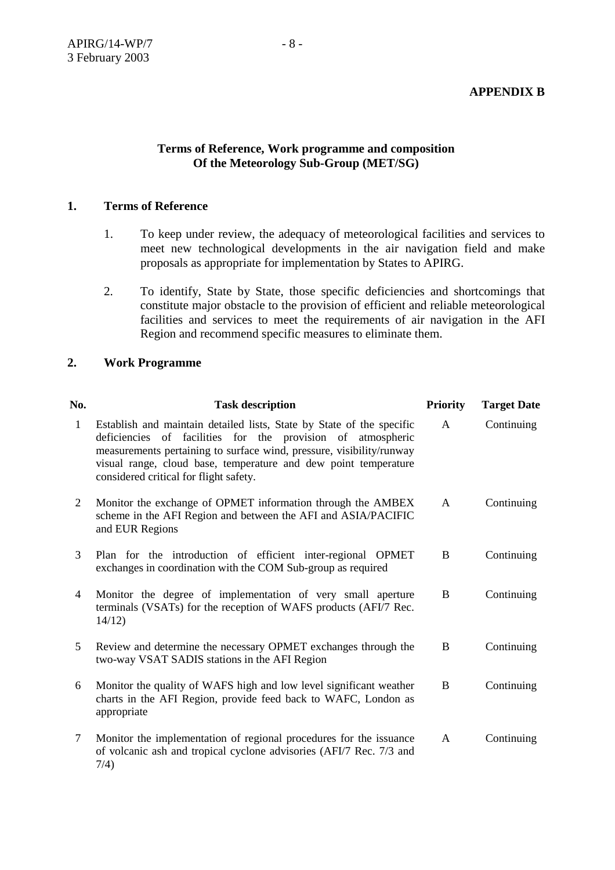# **Terms of Reference, Work programme and composition Of the Meteorology Sub-Group (MET/SG)**

## **1. Terms of Reference**

- 1. To keep under review, the adequacy of meteorological facilities and services to meet new technological developments in the air navigation field and make proposals as appropriate for implementation by States to APIRG.
- 2. To identify, State by State, those specific deficiencies and shortcomings that constitute major obstacle to the provision of efficient and reliable meteorological facilities and services to meet the requirements of air navigation in the AFI Region and recommend specific measures to eliminate them.

## **2. Work Programme**

| No. | <b>Task description</b>                                                                                                                                                                                                                                                                                                   | <b>Priority</b> | <b>Target Date</b> |
|-----|---------------------------------------------------------------------------------------------------------------------------------------------------------------------------------------------------------------------------------------------------------------------------------------------------------------------------|-----------------|--------------------|
| 1   | Establish and maintain detailed lists, State by State of the specific<br>deficiencies of facilities for the provision of atmospheric<br>measurements pertaining to surface wind, pressure, visibility/runway<br>visual range, cloud base, temperature and dew point temperature<br>considered critical for flight safety. | A               | Continuing         |
| 2   | Monitor the exchange of OPMET information through the AMBEX<br>scheme in the AFI Region and between the AFI and ASIA/PACIFIC<br>and EUR Regions                                                                                                                                                                           | A               | Continuing         |
| 3   | Plan for the introduction of efficient inter-regional OPMET<br>exchanges in coordination with the COM Sub-group as required                                                                                                                                                                                               | B               | Continuing         |
| 4   | Monitor the degree of implementation of very small aperture<br>terminals (VSATs) for the reception of WAFS products (AFI/7 Rec.<br>14/12                                                                                                                                                                                  | B               | Continuing         |
| 5   | Review and determine the necessary OPMET exchanges through the<br>two-way VSAT SADIS stations in the AFI Region                                                                                                                                                                                                           | B               | Continuing         |
| 6   | Monitor the quality of WAFS high and low level significant weather<br>charts in the AFI Region, provide feed back to WAFC, London as<br>appropriate                                                                                                                                                                       | B               | Continuing         |
| 7   | Monitor the implementation of regional procedures for the issuance<br>of volcanic ash and tropical cyclone advisories (AFI/7 Rec. 7/3 and<br>7/4)                                                                                                                                                                         | A               | Continuing         |